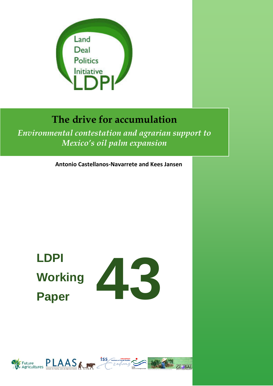

# **The drive for accumulation**

*Environmental contestation and agrarian support to Mexico's oil palm expansion*

**Antonio Castellanos-Navarrete and Kees Jansen**

# **LDPI Working Paper**



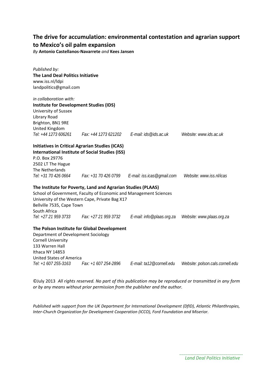# **The drive for accumulation: environmental contestation and agrarian support to Mexico's oil palm expansion**

*By* **Antonio Castellanos-Navarrete** *and* **Kees Jansen**

| Published by:                                  |                                                                   |                                                    |                                  |
|------------------------------------------------|-------------------------------------------------------------------|----------------------------------------------------|----------------------------------|
| The Land Deal Politics Initiative              |                                                                   |                                                    |                                  |
| www.iss.nl/ldpi                                |                                                                   |                                                    |                                  |
| landpolitics@gmail.com                         |                                                                   |                                                    |                                  |
| in collaboration with:                         |                                                                   |                                                    |                                  |
| <b>Institute for Development Studies (IDS)</b> |                                                                   |                                                    |                                  |
| University of Sussex                           |                                                                   |                                                    |                                  |
| Library Road                                   |                                                                   |                                                    |                                  |
| Brighton, BN1 9RE                              |                                                                   |                                                    |                                  |
| United Kingdom                                 |                                                                   |                                                    |                                  |
| Tel: +44 1273 606261                           |                                                                   | Fax: +44 1273 621202    E-mail: ids@ids.ac.uk      | Website: www.ids.ac.uk           |
|                                                | <b>Initiatives in Critical Agrarian Studies (ICAS)</b>            |                                                    |                                  |
|                                                | <b>International Institute of Social Studies (ISS)</b>            |                                                    |                                  |
| P.O. Box 29776                                 |                                                                   |                                                    |                                  |
| 2502 LT The Hague                              |                                                                   |                                                    |                                  |
| The Netherlands                                |                                                                   |                                                    |                                  |
| Tel: +31 70 426 0664                           |                                                                   | Fax: +31 70 426 0799    E-mail: iss.icas@gmail.com | Website: www.iss.nl/icas         |
|                                                | The Institute for Poverty, Land and Agrarian Studies (PLAAS)      |                                                    |                                  |
|                                                | School of Government, Faculty of Economic and Management Sciences |                                                    |                                  |
|                                                | University of the Western Cape, Private Bag X17                   |                                                    |                                  |
| Bellville 7535, Cape Town                      |                                                                   |                                                    |                                  |
| South Africa                                   |                                                                   |                                                    |                                  |
| Tel: +27 21 959 3733                           | Fax: +27 21 959 3732                                              | E-mail: info@plaas.org.za                          | Website: www.plaas.org.za        |
|                                                | The Polson Institute for Global Development                       |                                                    |                                  |
| Department of Development Sociology            |                                                                   |                                                    |                                  |
| <b>Cornell University</b>                      |                                                                   |                                                    |                                  |
| 133 Warren Hall                                |                                                                   |                                                    |                                  |
| Ithaca NY 14853                                |                                                                   |                                                    |                                  |
| <b>United States of America</b>                |                                                                   |                                                    |                                  |
| Tel: +1 607 255-3163                           | Fax: +1 607 254-2896                                              | E-mail: ta12@cornell.edu                           | Website: polson.cals.cornell.edu |

©July 2013 *All rights reserved. No part of this publication may be reproduced or transmitted in any form or by any means without prior permission from the publisher and the author.*

*Published with support from the UK Department for International Development (DfID), Atlantic Philanthropies, Inter-Church Organization for Development Cooperation (ICCO), Ford Foundation and Miserior.*

> *Land Deal Politics Initiative*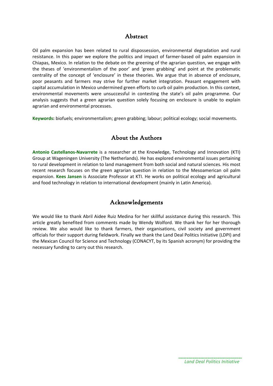# Abstract

Oil palm expansion has been related to rural dispossession, environmental degradation and rural resistance. In this paper we explore the politics and impact of farmer-based oil palm expansion in Chiapas, Mexico. In relation to the debate on the greening of the agrarian question, we engage with the theses of 'environmentalism of the poor' and 'green grabbing' and point at the problematic centrality of the concept of 'enclosure' in these theories. We argue that in absence of enclosure, poor peasants and farmers may strive for further market integration. Peasant engagement with capital accumulation in Mexico undermined green efforts to curb oil palm production. In this context, environmental movements were unsuccessful in contesting the state's oil palm programme. Our analysis suggests that a green agrarian question solely focusing on enclosure is unable to explain agrarian and environmental processes.

**Keywords:** biofuels; environmentalism; green grabbing; labour; political ecology; social movements.

# About the Authors

**Antonio Castellanos-Navarrete** is a researcher at the Knowledge, Technology and Innovation (KTI) Group at Wageningen University (The Netherlands). He has explored environmental issues pertaining to rural development in relation to land management from both social and natural sciences. His most recent research focuses on the green agrarian question in relation to the Mesoamerican oil palm expansion. **Kees Jansen** is Associate Professor at KTI. He works on political ecology and agricultural and food technology in relation to international development (mainly in Latin America).

# Acknowledgements

We would like to thank Abril Aidee Ruiz Medina for her skillful assistance during this research. This article greatly benefited from comments made by Wendy Wolford. We thank her for her thorough review. We also would like to thank farmers, their organisations, civil society and government officials for their support during fieldwork. Finally we thank the Land Deal Politics Initiative (LDPI) and the Mexican Council for Science and Technology (CONACYT, by its Spanish acronym) for providing the necessary funding to carry out this research.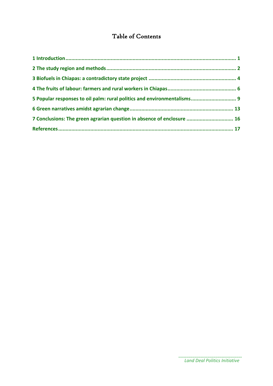# Table of Contents

| 5 Popular responses to oil palm: rural politics and environmentalisms 9 |  |
|-------------------------------------------------------------------------|--|
|                                                                         |  |
| 7 Conclusions: The green agrarian question in absence of enclosure  16  |  |
|                                                                         |  |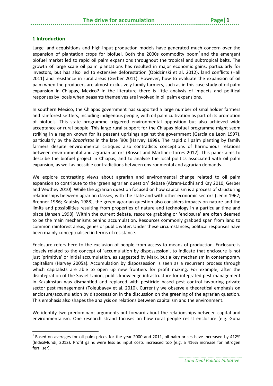#### <span id="page-4-0"></span>**1 Introduction**

**.** 

Large land acquisitions and high-input production models have generated much concern over the expansion of plantation crops for biofuel. Both the 2000s commodity boom $1$  and the emergent biofuel market led to rapid oil palm expansions throughout the tropical and subtropical belts. The growth of large scale oil palm plantations has resulted in major economic gains, particularly for investors, but has also led to extensive deforestation (Obidzinski et al. 2012), land conflicts (Hall 2011) and resistance in rural areas (Gerber 2011). However, how to evaluate the expansion of oil palm when the producers are almost exclusively family farmers, such as in this case study of oil palm expansion in Chiapas, Mexico? In the literature there is little analysis of impacts and political responses by locals when peasants themselves are involved in oil palm expansions.

In southern Mexico, the Chiapas government has supported a large number of smallholder farmers and rainforest settlers, including indigenous people, with oil palm cultivation as part of its promotion of biofuels. This state programme triggered environmental opposition but also achieved wide acceptance or rural people. This large rural support for the Chiapas biofuel programme might seem striking in a region known for its peasant uprisings against the government (García de Leon 1997), particularly by the *Zapatistas* in the late '90s (Harvey 1998). The rapid oil palm planting by family farmers despite environmental critiques also contradicts conceptions of harmonious relations between environmental and agrarian actors (Rosset and Martínez-Torres 2012). This paper aims to describe the biofuel project in Chiapas, and to analyse the local politics associated with oil palm expansion, as well as possible contradictions between environmental and agrarian demands.

We explore contrasting views about agrarian and environmental change related to oil palm expansion to contribute to the 'green agrarian question' debate (Akram-Lodhi and Kay 2010; Gerber and Veuthey 2010). While the agrarian question focused on how capitalism is a process of structuring relationships between agrarian classes, with the state and with other economic sectors (Lenin 1967; Brenner 1986; Kautsky 1988), the green agrarian question also considers impacts on nature and the limits and possibilities resulting from properties of nature and technology in a particular time and place (Jansen 1998). Within the current debate, resource grabbing or 'enclosure' are often deemed to be the main mechanisms behind accumulation. Resources commonly grabbed span from land to common rainforest areas, genes or public water. Under these circumstances, political responses have been mainly conceptualised in terms of resistance.

Enclosure refers here to the exclusion of people from access to means of production. Enclosure is closely related to the concept of 'accumulation by dispossession', to indicate that enclosure is not just 'primitive' or initial accumulation, as suggested by Marx, but a key mechanism in contemporary capitalism (Harvey 2005a). Accumulation by dispossession is seen as a recurrent process through which capitalists are able to open up new frontiers for profit making. For example, after the disintegration of the Soviet Union, public knowledge infrastructure for integrated pest management in Kazakhstan was dismantled and replaced with pesticide based pest control favouring private sector pest management (Toleubayev et al. 2010). Currently we observe a theoretical emphasis on enclosure/accumulation by dispossession in the discussion on the greening of the agrarian question. This emphasis also shapes the analysis on relations between capitalism and the environment.

We identify two predominant arguments put forward about the relationships between capital and environmentalism. One research strand focuses on how rural people resist enclosure (e.g. Guha

<span id="page-4-1"></span> $1$  Based on averages for oil palm prices for the year 2000 and 2011, oil palm prices have increased by 412% (IndexMundi, 2012). Profit gains were less as input costs increased too (e.g. a 416% increase for nitrogen fertiliser).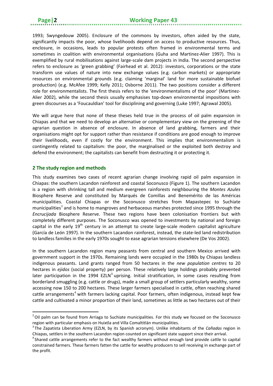1993; Swyngedouw 2005). Enclosure of the commons by investors, often aided by the state, significantly impacts the poor, whose livelihoods depend on access to productive resources. Thus, enclosure, in occasions, leads to popular protests often framed in environmental terms and sometimes in coalition with environmental organisations (Guha and Martinez-Alier 1997). This is exemplified by rural mobilisations against large-scale dam projects in India. The second perspective refers to enclosure as 'green grabbing' (Fairhead et al. 2012): investors, corporations or the state transform use values of nature into new exchange values (e.g. carbon markets) or appropriate resources on environmental grounds (e.g. claiming 'marginal' land for more sustainable biofuel production) (e.g. McAfee 1999; Kelly 2011; Osborne 2011). The two positions consider a different role for environmentalists. The first thesis refers to the 'environmentalisms of the poor' (Martinez-Alier 2002), while the second thesis usually emphasises top-down environmental impositions with green discourses as a 'Foucauldian' tool for disciplining and governing (Luke 1997; Agrawal 2005).

We will argue here that none of these theses held true in the process of oil palm expansion in Chiapas and that we need to develop an alternative or complementary view on the greening of the agrarian question in absence of enclosure. In absence of land grabbing, farmers and their organisations might opt for support rather than resistance if conditions are good enough to improve their livelihoods, even if costly for the environment. This implies that environmentalism is contingently related to capitalism: the poor, the marginalised or the exploited both destroy and defend the environment; the capitalists can benefit from destructing it or protecting it.

#### <span id="page-5-0"></span>**2 The study region and methods**

 $\overline{a}$ 

This study examines two cases of recent agrarian change involving rapid oil palm expansion in Chiapas: the southern Lacandon rainforest and coastal Soconusco (Figure 1). The southern Lacandon is a region with shrinking tall and medium evergreen rainforests neighbouring the *Montes Azules* Biosphere Reserve and constituted by Marqués de Comillas and Benemérito de las Américas municipalities. Coastal Chiapas or the Soconusco stretches from Mapastepec to Suchiate municipalities<sup>[2](#page-5-1)</sup> and is home to mangroves and herbaceous marshes protected since 1995 through the *Encrucijada* Biosphere Reserve. These two regions have been colonisation frontiers but with completely different purposes. The Soconusco was opened to investments by national and foreign capital in the early  $19<sup>th</sup>$  century in an attempt to create large-scale modern capitalist agriculture (García de León 1997). In the southern Lacandon rainforest, instead, the state-led land redistribution to landless families in the early 1970s sought to ease agrarian tensions elsewhere (De Vos 2002).

In the southern Lacandon region many peasants from central and southern Mexico arrived with government support in the 1970s. Remaining lands were occupied in the 1980s by Chiapas landless indigenous peasants. Land grants ranged from 50 hectares in the *new population centres* to 20 hectares in *ejidos* (social property) per person. These relatively large holdings probably prevented later participation in the 1994 EZLN<sup>[3](#page-5-2)</sup> uprising. Initial stratification, in some cases resulting from borderland smuggling (e.g. cattle or drugs), made a small group of settlers particularly wealthy, some accessing now 150 to 200 hectares. These larger farmers specialised in cattle, often reaching shared cattle arrangements<sup>[4](#page-5-3)</sup> with farmers lacking capital. Poor farmers, often indigenous, instead kept few cattle and cultivated a minor proportion of their land, sometimes as little as two hectares out of their

<span id="page-5-1"></span><sup>&</sup>lt;sup>2</sup> Oil palm can be found from Arriaga to Suchiate municipalities. For this study we focused on the Soconusco region with particular emphasis on Huixtla and Villa Comaltitlán municipalities. <sup>3</sup>

<span id="page-5-2"></span>The Zapatista Liberation Army (EZLN, by its Spanish acronym). Unlike inhabitants of the *Cañadas* region in Chiapas, settlers in the southern Lacandon region counted on significant state support since their arrival.

<span id="page-5-3"></span><sup>&</sup>lt;sup>4</sup> Shared cattle arrangements refer to the fact wealthy farmers without enough land provide cattle to capital constrained farmers. These farmers fatten the cattle for wealthy producers to sell receiving in exchange part of the profit.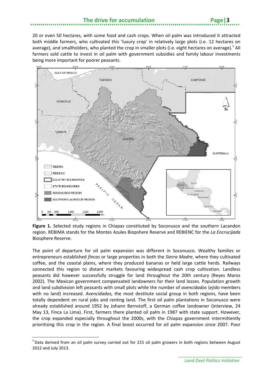20 or even 50 hectares, with some food and cash crops. When oil palm was introduced it attracted both middle farmers, who cultivated this 'luxury crop' in relatively large plots (i.e. 12 hectares on average), and smallholders, who planted the crop in smaller plots (i.e. eight hectares on average).<sup>[5](#page-6-0)</sup> All farmers sold cattle to invest in oil palm with government subsidies and family labour investments being more important for poorer peasants.



**Figure 1.** Selected study regions in Chiapas constituted by Soconusco and the southern Lacandon region. REBIMA stands for the Montes Azules Biopshere Reserve and REBIENC for the *La Encrucijada*  Biosphere Reserve.

The point of departure for oil palm expansion was different in Soconusco. Wealthy families or entrepreneurs established *fincas* or large properties in both the *Sierra Madre*, where they cultivated coffee, and the coastal plains, where they produced bananas or held large cattle herds. Railways connected this region to distant markets favouring widespread cash crop cultivation. Landless peasants did however successfully struggle for land throughout the 20th century (Reyes Maros 2002). The Mexican government compensated landowners for their land losses. Population growth and land subdivision left peasants with small plots while the number of *avencidados* (*ejido* members with no land) increased. *Avencidados,* the most destitute social group in both regions, have been totally dependent on rural jobs and renting land. The first oil palm plantations in Soconusco were already established around 1952 by Johann Bernstoff, a German coffee landowner (interview, 24 May 13, Finca La Lima). First, farmers there planted oil palm in 1987 with state support. However, the crop expanded especially throughout the 2000s, with the Chiapas government intermittently prioritising this crop in the region. A final boost occurred for oil palm expansion since 2007. Poor

<span id="page-6-0"></span><sup>&</sup>lt;sup>5</sup> Data derived from an oil palm survey carried out for 215 oil palm growers in both regions between August 2012 and July 2013.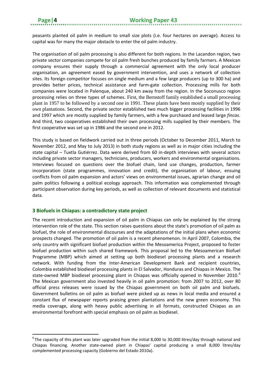**.** 

peasants planted oil palm in medium to small size plots (i.e. four hectares on average). Access to capital was for many the major obstacle to enter the oil palm industry.

The organisation of oil palm processing is also different for both regions. In the Lacandon region, two private sector companies compete for oil palm fresh bunches produced by family farmers. A Mexican company ensures their supply through a commercial agreement with the only local producer organisation, an agreement eased by government intervention, and uses a network of collection sites. Its foreign competitor focuses on single medium and a few large producers (up to 300 ha) and provides better prices, technical assistance and farm-gate collection. Processing mills for both companies were located in Palenque, about 240 km away from the region. In the Soconusco region processing relies on three types of schemes. First, the Bernstoff family established a small processing plant in 1957 to be followed by a second one in 1991. These plants have been mostly supplied by their own plantations. Second, the private sector established two much bigger processing facilities in 1996 and 1997 which are mostly supplied by family farmers, with a few purchased and leased large *fincas*. And third, two cooperatives established their own processing mills supplied by their members. The first cooperative was set up in 1986 and the second one in 2012.

This study is based on fieldwork carried out in three periods (October to December 2011, March to November 2012, and May to July 2013) in both study regions as well as in major cities including the state capital – Tuxtla Gutiérrez. Data were derived from 60 in-depth interviews with several actors including private sector managers, technicians, producers, workers and environmental organisations. Interviews focused on questions over the biofuel chain, land use changes, production, farmer incorporation (state programmes, innovation and credit), the organisation of labour, ensuing conflicts from oil palm expansion and actors' views on environmental issues, agrarian change and oil palm politics following a political ecology approach. This information was complemented through participant observation during key periods, as well as collection of relevant documents and statistical data.

#### <span id="page-7-0"></span>**3 Biofuels in Chiapas: a contradictory state project**

The recent introduction and expansion of oil palm in Chiapas can only be explained by the strong intervention role of the state. This section raises questions about the state's promotion of oil palm as biofuel, the role of environmental discourses and the adaptations of the initial plans when economic prospects changed. The promotion of oil palm is a recent phenomenon. In April 2007, Colombia, the only country with significant biofuel production within the Mesoamerica Project, proposed to foster biofuel production within such shared framework. This proposal led to the Mesoamerican Biofuel Programme (MBP) which aimed at setting up both biodiesel processing plants and a research network. With funding from the Inter-American Development Bank and recipient countries, Colombia established biodiesel processing plants in El Salvador, Honduras and Chiapas in Mexico. The state-owned MBP biodiesel processing plant in Chiapas was officially opened in November 2010.<sup>[6](#page-7-1)</sup> The Mexican government also invested heavily in oil palm promotion: from 2007 to 2012, over 80 official press releases were issued by the Chiapas government on both oil palm and biofuels. Government bulletins on oil palm as biofuel were picked up as news in local media and ensured a constant flux of newspaper reports praising green plantations and the new green economy. This media coverage, along with heavy public advertising in all formats, constructed Chiapas as an environmental forefront with special emphasis on oil palm as biodiesel.

<span id="page-7-1"></span> ${}^{6}$ The capacity of this plant was later upgraded from the initial 8,000 to 30,000 litres/day through national and Chiapas financing. Another state-owned plant in Chiapas' capital producing a small 8,000 litres/day complemented processing capacity (Gobierno del Estado 2010a).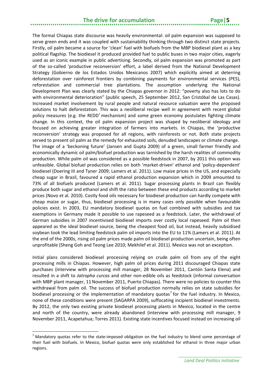### **The drive for accumulation Page|5**

The formal Chiapas state discourse was heavily environmental: oil palm expansion was supposed to serve green ends and it was coupled with sustainability thinking through two distinct state projects. Firstly, oil palm became a source for 'clean' fuel with biofuels from the MBP biodiesel plant as a key political flagship. The biodiesel it produced provided fuel to public buses in two major cities, eagerly used as an iconic example in public advertising. Secondly, oil palm expansion was promoted as part of the so-called 'productive reconversion' effort, a label derived from the National Development Strategy (Gobierno de los Estados Unidos Mexicanos 2007) which explicitly aimed at deterring deforestation over rainforest frontiers by combining payments for environmental services (PES), reforestation and commercial tree plantations. The assumption underlying the National Development Plan was clearly stated by the Chiapas governor in 2012: "poverty also has lots to do with environmental deterioration" (public speech, 25 September 2012, San Cristóbal de Las Casas). Increased market involvement by rural people and natural resource valuation were the proposed solutions to halt deforestation. This was a neoliberal recipe well in agreement with recent global policy measures (e.g. the REDD<sup>+</sup> mechanism) and some green economy postulates fighting climate change. In this context, the oil palm expansion project was shaped by neoliberal ideology and focused on achieving greater integration of farmers into markets. In Chiapas, the 'productive reconversion' strategy was proposed for all regions, with rainforests or not. Both state projects served to present oil palm as the remedy for exhausted soils, denuded landscapes or climate change. The image of a 'beckoning future' (Jansen and Gupta 2009) of a green, small farmer friendly and economically dynamic oil palm/biofuel production was tarnished by the harsh realities of commodity production. While palm oil was considered as a possible feedstock in 2007, by 2011 this option was unfeasible. Global biofuel production relies on both 'market-driven' ethanol and 'policy-dependent' biodiesel (Doering III and Tyner 2009; Lamers et al. 2011). Low maize prices in the US, and especially cheap sugar in Brazil, favoured a rapid ethanol production expansion which in 2009 amounted to 73% of all biofuels produced (Lamers et al. 2011). Sugar processing plants in Brazil can flexibly produce both sugar and ethanol and shift the ratio between these end products according to market prices (Novo et al. 2010). Costly food oils necessary for biodiesel production can hardly compete with cheap maize or sugar, thus, biodiesel processing is in many cases only possible when favourable policies exist. In 2003, EU mandatory biodiesel quotas on fuel combined with subsidies and tax exemptions in Germany made it possible to use rapeseed as a feedstock. Later, the withdrawal of German subsidies in 2007 incentivised biodiesel imports over costly local rapeseed. Palm oil then appeared as the ideal biodiesel source, being the cheapest food oil, but instead, heavily subsidised soybean took the lead limiting feedstock palm oil imports into the EU to 11% (Lamers et al. 2011). At the end of the 2000s, rising oil palm prices made palm oil biodiesel production uncertain, being often unprofitable (Sheng Goh and Teong Lee 2010; Mekhilef et al. 2011). Mexico was not an exception.

Initial plans considered biodiesel processing relying on crude palm oil from any of the eight processing mills in Chiapas. However, high palm oil prices during 2011 discouraged Chiapas state purchases (interview with processing mill manager, 28 November 2011, Cantón Santa Elena) and resulted in a shift to *Jatropha curcas* and other non-edible oils as feedstock (informal conversation with MBP plant manager, 11 November 2011, Puerto Chiapas). There were no policies to counter this withdrawal from palm oil. The success of biofuel production normally relies on state subsidies for biodiesel processing or the implementation of mandatory quotas<sup>[7](#page-8-0)</sup> for the fuel industry. In Mexico, none of these conditions were present (SAGARPA 2009), suffocating incipient biodiesel investments. By 2012, the only two existing private biodiesel processing plants in Mexico, located in the centre and north of the country, were already abandoned (interview with processing mill manager, 9 November 2011, Acapetahua; Torres 2011). Existing state incentives focused instead on increasing oil

<span id="page-8-0"></span> $<sup>7</sup>$  Mandatory quotas refer to the state-imposed obligation on the fuel industry to blend some percentage of</sup> their fuel with biofuels. In Mexico, biofuel quotas were only established for ethanol in three major urban regions.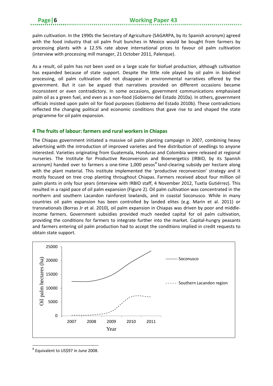palm cultivation. In the 1990s the Secretary of Agriculture (SAGARPA, by its Spanish acronym) agreed with the food industry that oil palm fruit bunches in Mexico would be bought from farmers by processing plants with a 12.5% rate above international prices to favour oil palm cultivation (interview with processing mill manager, 21 October 2011, Palenque).

As a result, oil palm has not been used on a large scale for biofuel production, although cultivation has expanded because of state support. Despite the little role played by oil palm in biodiesel processing, oil palm cultivation did not disappear in environmental narratives offered by the government. But it can be argued that narratives provided on different occasions became inconsistent or even contradictory. In some occasions, government communications emphasised palm oil as a green fuel, and even as a non-food (Gobierno del Estado 2010a). In others, government officials insisted upon palm oil for food purposes (Gobierno del Estado 2010b). These contradictions reflected the changing political and economic conditions that gave rise to and shaped the state programme for oil palm expansion.

#### <span id="page-9-0"></span>**4 The fruits of labour: farmers and rural workers in Chiapas**

The Chiapas government initiated a massive oil palm planting campaign in 2007, combining heavy advertising with the introduction of improved varieties and free distribution of seedlings to anyone interested. Varieties originating from Guatemala, Honduras and Colombia were released at regional nurseries. The Institute for Productive Reconversion and Bioenergetics (IRBIO, by its Spanish acronym) handed over to farmers a one-time  $1,000$  pesos<sup>[8](#page-9-1)</sup> land-clearing subsidy per hectare along with the plant material. This institute implemented the 'productive reconversion' strategy and it mostly focused on tree crop planting throughout Chiapas. Farmers received about four million oil palm plants in only four years (interview with IRBIO staff, 4 November 2012, Tuxtla Gutiérrez). This resulted in a rapid pace of oil palm expansion (Figure 2). Oil palm cultivation was concentrated in the northern and southern Lacandon rainforest lowlands, and in coastal Soconusco. While in many countries oil palm expansion has been controlled by landed elites (e.g. Marin et al. 2011) or transnationals (Borras Jr et al. 2010), oil palm expansion in Chiapas was driven by poor and middleincome farmers. Government subsidies provided much needed capital for oil palm cultivation, providing the conditions for farmers to integrate further into the market. Capital-hungry peasants and farmers entering oil palm production had to accept the conditions implied in credit requests to obtain state support.



<span id="page-9-1"></span><sup>8</sup> Equivalent to US\$97 in June 2008.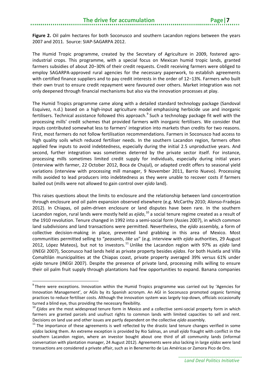Figure 2. Oil palm hectares for both Soconusco and southern Lacandon regions between the years 2007 and 2011. Source: SIAP-SAGARPA 2012.

The Humid Tropic programme, created by the Secretary of Agriculture in 2009, fostered agroindustrial crops. This programme, with a special focus on Mexican humid tropic lands, granted farmers subsidies of about 20−30% of their credit requests. Credit receiving farmers were obliged to employ SAGARPA-approved rural agencies for the necessary paperwork, to establish agreements with certified finance suppliers and to pay credit interests in the order of 12−13%. Farmers who built their own trust to ensure credit repayment were favoured over others. Market integration was not only deepened through financial mechanisms but also via the innovation processes at play.

The Humid Tropics programme came along with a detailed standard technology package (Sandoval Esquivez, n.d.) based on a high-input agriculture model emphasising herbicide use and inorganic fertilisers. Technical assistance followed this approach.<sup>[9](#page-10-0)</sup> Such a technology package fit well with the processing mills' credit schemes that provided farmers with inorganic fertilisers. We consider that inputs contributed somewhat less to farmers' integration into markets than credits for two reasons. First, most farmers do not follow fertilisation recommendations. Farmers in Soconusco had access to high quality soils which reduced fertiliser needs. In the southern Lacandon region, farmers often applied few inputs to avoid indebtedness, especially during the initial 2.5 unproductive years. And second, further integration was sometimes deterred by the private sector itself. For instance, processing mills sometimes limited credit supply for individuals, especially during initial years (interview with farmer, 22 October 2012, Boca de Chajul), or adapted credit offers to seasonal yield variations (interview with processing mill manager, 9 November 2011, Barrio Nuevo). Processing mills avoided to lead producers into indebtedness as they were unable to recover costs if farmers bailed out (mills were not allowed to gain control over *ejido* land).

This raises questions about the limits to enclosure and the relationship between land concentration through enclosure and oil palm expansion observed elsewhere (e.g. McCarthy 2010; Alonso-Fradejas 2012). In Chiapas, oil palm-driven enclosure or land disputes have been rare. In the southern Lacandon region, rural lands were mostly held as *ejido*,<sup>[10](#page-10-1)</sup> a social tenure regime created as a result of the 1910 revolution. Tenure changed in 1992 into a semi-social form (Assies 2007), in which common land subdivisions and land transactions were permitted. Nevertheless, the *ejido* assembly, a form of collective decision-making in place, prevented land grabbing in this area of Mexico. Most communities permitted selling to "*peasants*, *like us*" (e.g. interview with *ejido* authorities, 29 August 2012, López Mateos), but not to investors. [11](#page-10-2) Unlike the Lacandon region with 97% as *ejido* land (INEGI 2007), Soconusco had lands held as private property besides *ejidos*. For both Huixtla and Villa Comaltilán municipalities at the Chiapas coast, private property averaged 39% versus 61% under *ejido* tenure (INEGI 2007). Despite the presence of private land, processing mills willing to ensure their oil palm fruit supply through plantations had few opportunities to expand. Banana companies

<span id="page-10-0"></span><sup>&</sup>lt;sup>9</sup> There were exceptions. Innovation within the Humid Tropics programme was carried out by 'Agencies for Innovation Management', or AGIs by its Spanish acronym. An AGI in Soconusco promoted organic farming practices to reduce fertiliser costs. Although the innovation system was largely top-down, officials occasionally turned a blind eye, thus providing the necessary flexibility.

<span id="page-10-1"></span><sup>&</sup>lt;sup>10</sup> Ejidos are the most widespread tenure form in Mexico and a collective semi-social property form in which farmers are granted parcels and usufruct rights to common lands with limited capacities to sell and rent. Decisions on land use and other issues are partly dependent on the collective *ejido* assembly.<br><sup>11</sup> The importance of these agreements is well reflected by the drastic land tenure changes verified in some

<span id="page-10-2"></span>*ejidos* lacking them. An extreme exception is provided by Rio Salinas, an small *ejido* fraught with conflict in the southern Lacandon region, where an investor bought about one third of all community lands (informal conversation with plantation manager, 24 August 2012). Agreements were also lacking in large *ejidos* were land transactions are considered a private affair, such as in Benemerito de Las Américas or Zamora Pico de Oro.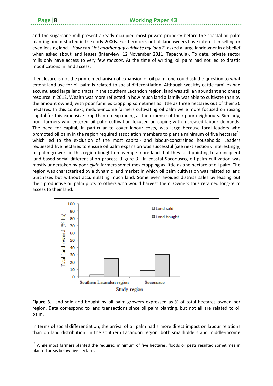**.** 

and the sugarcane mill present already occupied most private property before the coastal oil palm planting boom started in the early 2000s. Furthermore, not all landowners have interest in selling or even leasing land. "*How can I let another guy cultivate my land?*" asked a large landowner in disbelief when asked about land leases (interview, 12 November 2011, Tapachula). To date, private sector mills only have access to very few *ranchos*. At the time of writing, oil palm had not led to drastic modifications in land access.

If enclosure is not the prime mechanism of expansion of oil palm, one could ask the question to what extent land use for oil palm is related to social differentiation. Although wealthy cattle families had accumulated large land tracts in the southern Lacandon region, land was still an abundant and cheap resource in 2012. Wealth was more reflected in how much land a family was able to cultivate than by the amount owned, with poor families cropping sometimes as little as three hectares out of their 20 hectares. In this context, middle-income farmers cultivating oil palm were more focused on raising capital for this expensive crop than on expanding at the expense of their poor neighbours. Similarly, poor farmers who entered oil palm cultivation focused on coping with increased labour demands. The need for capital, in particular to cover labour costs, was large because local leaders who promoted oil palm in the region required association members to plant a minimum of five hectares<sup>[12](#page-11-0)</sup> which led to the exclusion of the most capital- and labour-constrained households. Leaders requested five hectares to ensure oil palm expansion was successful (see next section). Interestingly, oil palm growers in this region bought on average more land that they sold pointing to an incipient land-based social differentiation process (Figure 3). In coastal Soconusco, oil palm cultivation was mostly undertaken by poor *ejido* farmers sometimes cropping as little as one hectare of oil palm. The region was characterised by a dynamic land market in which oil palm cultivation was related to land purchases but without accumulating much land. Some even avoided distress sales by leasing out their productive oil palm plots to others who would harvest them. Owners thus retained long-term access to their land.



**Figure 3.** Land sold and bought by oil palm growers expressed as % of total hectares owned per region. Data correspond to land transactions since oil palm planting, but not all are related to oil palm.

In terms of social differentiation, the arrival of oil palm had a more direct impact on labour relations than on land distribution. In the southern Lacandon region, both smallholders and middle-income

<span id="page-11-0"></span><sup>&</sup>lt;sup>12</sup> While most farmers planted the required minimum of five hectares, floods or pests resulted sometimes in planted areas below five hectares.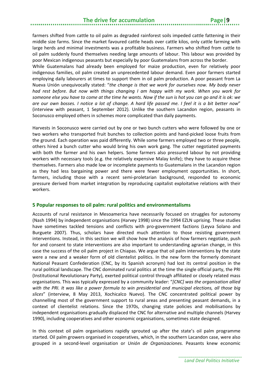farmers shifted from cattle to oil palm as degraded rainforest soils impeded cattle fattening in their middle size farms. Since the market favoured cattle heads over cattle kilos, only cattle farming with large herds and minimal investments was a profitable business. Farmers who shifted from cattle to oil palm suddenly found themselves needing large amounts of labour. This labour was provided by poor Mexican indigenous peasants but especially by poor Guatemalans from across the border.

While Guatemalans had already been employed for maize production, even for relatively poor indigenous families, oil palm created an unprecedented labour demand. Even poor farmers started employing daily labourers at times to support them in oil palm production. A poor peasant from La Nueva Unión unequivocally stated: "*the change is that we work for ourselves now. My body never had rest before. But now with things changing I am happy with my work. When you work for someone else you have to come at the time he wants. Now if the sun is hot you can go and it is ok: we are our own bosses. I notice a lot of change. A hard life passed me. I feel it is a bit better now*" (interview with peasant, 1 September 2012). Unlike the southern Lacandon region, peasants in Soconusco employed others in schemes more complicated than daily payments.

Harvests in Soconusco were carried out by one or two bunch cutters who were followed by one or two workers who transported fruit bunches to collection points and hand-picked loose fruits from the ground. Each operation was paid differently. While some farmers employed two or three people, others hired a bunch cutter who would bring his own work gang. The cutter negotiated payments with both the farmer and his own helpers. Some farmers also pressured labour by not providing workers with necessary tools (e.g. the relatively expensive Malay knife); they have to acquire these themselves. Farmers also made low or incomplete payments to Guatemalans in the Lacandon region as they had less bargaining power and there were fewer employment opportunities. In short, farmers, including those with a recent semi-proletarian background, responded to economic pressure derived from market integration by reproducing capitalist exploitative relations with their workers.

#### <span id="page-12-0"></span>**5 Popular responses to oil palm: rural politics and environmentalisms**

Accounts of rural resistance in Mesoamerica have necessarily focused on struggles for autonomy (Nash 1994) by independent organisations (Harvey 1998) since the 1994 EZLN uprising. These studies have sometimes tackled tensions and conflicts with pro-government factions (Leyva Solano and Burguete 2007). Thus, scholars have directed much attention to those resisting government interventions. Instead, in this section we will show how the analysis of how farmers negotiate, push for and consent to state interventions are also important to understanding agrarian change, in this case the success of the oil palm project in Chiapas. We argue that oil palm interventions by the state were a new and a weaker form of old clientelist politics. In the new form the formerly dominant National Peasant Confederation (CNC, by its Spanish acronym) had lost its central position in the rural political landscape. The CNC dominated rural politics at the time the single official party, the PRI (Institutional Revolutionary Party), exerted political control through affiliated or closely related mass organisations. This was typically expressed by a community leader: "*[CNC] was the organisation allied with the PRI. It was like a power formula to win presidential and municipal elections, all those big slices*" (interview, 8 May 2013, Xochicalco Nuevo). The CNC concentrated political power by channelling most of the government support to rural areas and presenting peasant demands, in a context of clientelist relations. Since the 1970s, changing state policies and mobilisations by independent organisations gradually displaced the CNC for alternative and multiple channels (Harvey 1990), including cooperatives and other economic organisations, sometimes state designed.

In this context oil palm organisations rapidly sprouted up after the state's oil palm programme started. Oil palm growers organised in cooperatives, which, in the southern Lacandon case, were also grouped in a second-level organisation or *Unión de Organizaciones.* Peasants knew economic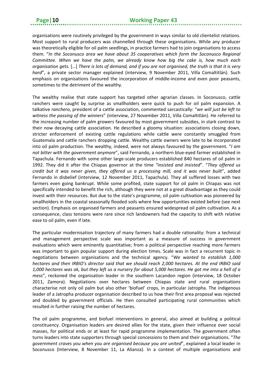organisations were routinely privileged by the government in ways similar to old clientelist relations. Most support to rural producers was channelled through these organisations. While any producer was theoretically eligible for oil palm seedlings, in practice farmers had to join organisations to access them. "*In the Soconusco area we have about 35 cooperatives which form the Soconusco Regional Committee. When we have the palm, we already know how big the cake is, how much each organisation gets.* […] *There is lots of demand, and if you are not organised, the truth is that it is very hard*", a private sector manager explained (interview, 9 November 2011, Villa Comaltitlán). Such emphasis on organisations favoured the incorporation of middle-income and even poor peasants, sometimes to the detriment of the wealthy.

The wealthy realise that state support has targeted other agrarian classes. In Soconusco, cattle ranchers were caught by surprise as smallholders were quick to push for oil palm expansion. A talkative *ranchero*, president of a cattle association, commented sarcastically: "*we will just be left to witness the passing of the winners*" (interview, 27 November 2011, Villa Comaltitlán). He referred to the increasing number of palm growers favoured by most government subsidies, in stark contrast to their now decaying cattle association. He described a gloomy situation: associations closing down, stricter enforcement of existing cattle regulations while cattle were constantly smuggled from Guatemala and cattle ranchers dropping cattle. Wealthy cattle owners were late to be incorporated into oil palm production. The wealthy, indeed, were not always favoured by the government. "*I am not bitter with the government anymore*", said Fernando, a northern blue-eyed farmer established in Tapachula. Fernando with some other large-scale producers established 840 hectares of oil palm in 1992. They did it after the Chiapas governor at the time *"insisted and insisted*". "*They offered us credit but it was never given, they offered us a processing mill, and it was never built*", added Fernando in disbelief (interview, 12 November 2011, Tapachula). They all suffered losses with two farmers even going bankrupt. While some profited, state support for oil palm in Chiapas was not specifically intended to benefit the rich, although they were not at a great disadvantage as they could invest with their resources. But due to the state's programme, oil palm cultivation was pioneered by smallholders in the coastal seasonally flooded soils where few opportunities existed before (see next section). Emphasis on organised farmers and peasants ensured widespread oil palm cultivation. As a consequence, class tensions were rare since rich landowners had the capacity to shift with relative ease to oil palm, even if late.

The particular modernisation trajectory of many farmers had a double rationality: from a technical and management perspective scale was important as a measure of success in government evaluations which were eminently quantitative; from a political perspective reaching more farmers was important to gain popular support during election times. Scale was in fact a recurrent topic in negotiations between organisations and the technical agency. "*We wanted to establish 1,000 hectares and then IRBIO's director said that we should reach 2,000 hectares. At the end IRBIO said 1,000 hectares was ok, but they left us a nursery for about 5,000 hectares. He got me into a hell of a mess*", reckoned the organisation leader in the southern Lacandon region (interview, 18 October 2011, Zamora). Negotiations over hectares between Chiapas state and rural organisations characterise not only oil palm but also other 'biofuel' crops, in particular Jatropha. The indigenous leader of a Jatropha producer organisation described to us how their first area proposal was rejected and doubled by government officials. He then consulted participating rural communities which resulted in further raising the number of hectares.

The oil palm programme, and biofuel interventions in general, also aimed at building a political constituency. Organisation leaders are desired allies for the state, given their influence over social masses, for political ends or at least for rapid programme implementation. The government often turns leaders into state supporters through special concessions to them and their organisations. "*The government craves you when you are organised because you are united*", explained a local leader in Soconusco (Interview, 8 November 11, La Alianza). In a context of multiple organisations and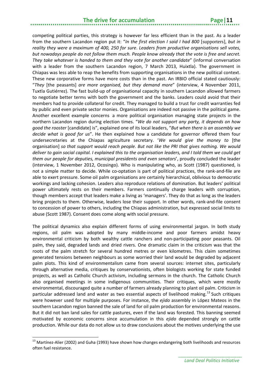#### **The drive for accumulation Page 11**

competing political parties, this strategy is however far less efficient than in the past. As a leader from the southern Lacandon region put it: "*In the first election I said I had 800* [supporters]*, but in reality they were a maximum of 400, 250 for sure*. *Leaders from productive organisations sell votes, but nowadays people do not follow them much. People know already that the vote is free and secret. They take whatever is handed to them and they vote for another candidate*" (informal conversation with a leader from the southern Lacandon region, 7 March 2013, Huixtla). The government in Chiapas was less able to reap the benefits from supporting organisations in the new political context. These new corporative forms have more costs than in the past. An IRBIO official stated cautiously: "*They* [the peasants] *are more organised, but they demand more*" (interview, 4 November 2011, Tuxtla Gutiérrez). The fast build-up of organisational capacity in southern Lacandon allowed farmers to negotiate better terms with both the government and the banks. Leaders could avoid that their members had to provide collateral for credit. They managed to build a trust for credit warranties fed by public and even private sector monies. Organisations are indeed not passive in the political game. Another excellent example concerns a more political organisation managing state projects in the northern Lacandon region during election times. "*We do not support any party, it depends on how good the rooster* [candidate] is", explained one of its local leaders, "*But when there is an assembly we decide what is good for us*". He then explained how a candidate for governor offered them four undersecretaries at the Chiapas agriculture secretary. '*We would give the money to* [the organisation] *so that support would reach people*. *But not like the PRI that gives nothing. We would deliver to gain social capital. I explained this to the organisation leaders, and I told them we could get them our people for deputies, municipal presidents and even senators*', proudly concluded the leader (interview, 1 November 2012, Ocosingo). Who is manipulating who, as Scott (1987) questioned, is not a simple matter to decide. While co-optation is part of political practices, the rank-and-file are able to exert pressure. Some oil palm organisations are certainly hierarchical, oblivious to democratic workings and lacking cohesion. Leaders also reproduce relations of domination. But leaders' political power ultimately rests on their members. Farmers continually charge leaders with corruption, though members accept that leaders make a living as 'managers'. They do that as long as the leaders bring projects to them. Otherwise, leaders lose their support. In other words, rank-and-file consent to concession of power to others, including the Chiapas administration, but expressed social limits to abuse (Scott 1987). Consent does come along with social pressure.

The political dynamics also explain different forms of using environmental jargon. In both study regions, oil palm was adopted by many middle-income and poor farmers amidst heavy environmental criticism by both wealthy cattle ranchers and non-participating poor peasants. Oil palm, they said, degraded lands and dried rivers. One dramatic claim in the criticism was that the roots of the palm stretch for several hundred metres or even kilometres. This claim sometimes generated tensions between neighbours as some worried their land would be degraded by adjacent palm plots. This kind of environmentalism came from several sources: internet sites, particularly through alternative media, critiques by conservationists, often biologists working for state funded projects, as well as Catholic Church activism, including sermons in the church. The Catholic Church also organised meetings in some indigenous communities. Their critiques, which were mostly environmental, discouraged quite a number of farmers already planning to plant oil palm. Criticism in particular addressed land and water as two essential aspects of livelihood making.<sup>[13](#page-14-0)</sup> Such critiques were however used for multiple purposes. For instance, the *ejido* assembly in López Mateos in the southern Lacandon region banned the sale of land for oil palm production for environmental reasons. But it did not ban land sales for cattle pastures, even if the land was forested. This banning seemed motivated by economic concerns since accumulation in this *ejido* depended strongly on cattle production. While our data do not allow us to draw conclusions about the motives underlying the use

<span id="page-14-0"></span><sup>&</sup>lt;sup>13</sup> Martínez-Alier (2002) and Guha (1993) have shown how changes endangering both livelihoods and resources often fuel resistance.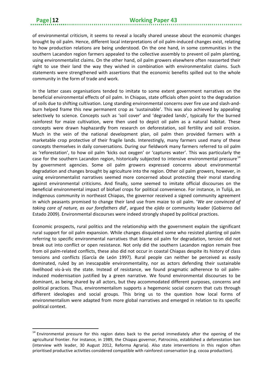**.** 

of environmental criticism, it seems to reveal a locally shared unease about the economic changes brought by oil palm. Hence, different local interpretations of oil palm-induced changes exist, relating to how production relations are being understood. On the one hand, in some communities in the southern Lacandon region farmers appealed to the collective assembly to prevent oil palm planting, using environmentalist claims. On the other hand, oil palm growers elsewhere often reasserted their right to use their land the way they wished in combination with environmentalist claims. Such statements were strengthened with assertions that the economic benefits spilled out to the whole community in the form of trade and work.

In the latter cases organisations tended to imitate to some extent government narratives on the beneficial environmental effects of oil palm. In Chiapas, state officials often point to the degradation of soils due to shifting cultivation. Long standing environmental concerns over fire use and slash-andburn helped frame this new permanent crop as 'sustainable'. This was also achieved by appealing selectively to science. Concepts such as 'soil cover' and 'degraded lands', typically for the burned rainforest for maize cultivation, were then used to depict oil palm as a natural habitat. These concepts were drawn haphazardly from research on deforestation, soil fertility and soil erosion. Much in the vein of the national development plan, oil palm then provided farmers with a marketable crop protective of their fragile lands. Interestingly, many farmers used many of these concepts themselves in daily conversations. During our fieldwork many farmers referred to oil palm as 'reforestation', to how oil palm 'kicks out oxygen' or 'captures water'. This was particularly the case for the southern Lacandon region, historically subjected to intensive environmental pressure<sup>[14](#page-15-0)</sup> by government agencies. Some oil palm growers expressed concerns about environmental degradation and changes brought by agriculture into the region. Other oil palm growers, however, in using environmentalist narratives seemed more concerned about protecting their moral standing against environmental criticisms. And finally, some seemed to imitate official discourses on the beneficial environmental impact of biofuel crops for political convenience. For instance, in Tulijá, an indigenous community in northeast Chiapas, the governor received a signed community agreement in which peasants promised to change their land use from maize to oil palm. '*We are convinced of taking care of nature, as our forefathers did*', argued the *ejido* or community leader (Gobierno del Estado 2009). Environmental discourses were indeed strongly shaped by political practices.

Economic prospects, rural politics and the relationship with the government explain the significant rural support for oil palm expansion. While changes disquieted some who resisted planting oil palm referring to specific environmental narratives that blame oil palm for degradation, tension did not break out into conflict or open resistance. Not only did the southern Lacandon region remain free from oil palm-related conflicts, these also did not occur in coastal Chiapas despite its history of class tensions and conflicts (García de León 1997). Rural people can neither be perceived as easily dominated, ruled by an inescapable environmentality, nor as actors defending their sustainable livelihood vis-à-vis the state. Instead of resistance, we found pragmatic adherence to oil palminduced modernisation justified by a green narrative. We found environmental discourses to be dominant, as being shared by all actors, but they accommodated different purposes, concerns and political practices. Thus, environmentalism supports a hegemonic social concern that cuts through different ideologies and social groups. This bring us to the question how local forms of environmentalism were adapted from more global narratives and emerged in relation to its specific political context.

<span id="page-15-0"></span><sup>&</sup>lt;sup>14</sup> Environmental pressure for this region dates back to the period immediately after the opening of the agricultural frontier. For instance, in 1989, the Chiapas governor, Patrocinio, established a deforestation ban (interview with leader, 30 August 2012, Reforma Agraria). Also state interventions in this region often prioritised productive activities considered compatible with rainforest conservation (e.g. cocoa production).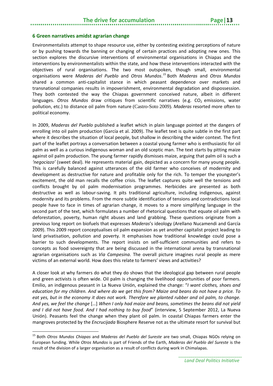#### <span id="page-16-0"></span>**6 Green narratives amidst agrarian change**

Environmentalists attempt to shape resource use, either by contesting existing perceptions of nature or by pushing towards the banning or changing of certain practices and adopting new ones. This section explores the discursive interventions of environmental organisations in Chiapas and the interventions by environmentalists within the state, and how these interventions interacted with the objectives of rural organisations. The two most outspoken, though small, environmental organisations were *Maderas del Pueblo* and *Otros Mundos*. *[15](#page-16-1)* Both *Maderas* and *Otros Mundos* shared a common anti-capitalist stance in which peasant dependence over markets and transnational companies results in impoverishment, environmental degradation and dispossession. They both contested the way the Chiapas government conceived nature, albeit in different languages. *Otros Mundos* draw critiques from scientific narratives (e.g. CO<sub>2</sub> emissions, water pollution, etc.) to distance oil palm from nature (Castro-Soto 2009). *Maderas* resorted more often to political economy.

In 2009, *Maderas del Pueblo* published a leaflet which in plain language pointed at the dangers of enrolling into oil palm production (García et al. 2009). The leaflet text is quite subtle in the first part where it describes the situation of local people, but shallow in describing the wider context. The first part of the leaflet portrays a conversation between a coastal young farmer who is enthusiastic for oil palm as well as a curious indigenous woman and an old sceptic man. The text starts by pitting maize against oil palm production. The young farmer rapidly dismisses maize, arguing that palm oil is such a *'negociazo'* (sweet deal). He represents material gain, depicted as a concern for many young people. This is carefully balanced against utterances of the old farmer who conceives of modernity and development as destructive for nature and profitable only for the rich. To temper the youngster's excitement, the old man recalls the coffee crisis. The leaflet captures quite well the tensions and conflicts brought by oil palm modernisation programmes. Herbicides are presented as both destructive as well as labour-saving. It pits traditional agriculture, including indigenous, against modernity and its problems. From the more subtle identification of tensions and contradictions local people have to face in times of agrarian change, it moves to a more simplifying language in the second part of the text, which formulates a number of rhetorical questions that equate oil palm with deforestation, poverty, human right abuses and land grabbing. These questions originate from a previous long report on biofuels that expresses *Maderas*'s ideology (Arellano Nucamendi and García 2009). This 2009 report conceptualises oil palm expansion as yet another capitalist project leading to land privatisation, pollution and poverty. It emphasises how traditional knowledge could pose a barrier to such developments. The report insists on self-sufficient communities and refers to concepts as food sovereignty that are being discussed in the international arena by transnational agrarian organisations such as *Via Campesina*. The overall picture imagines rural people as mere victims of an external world. How does this relate to farmers' views and activities?

A closer look at why farmers do what they do shows that the ideological gap between rural people and green activists is often wide. Oil palm is changing the livelihood opportunities of poor farmers. Emilio, an indigenous peasant in La Nueva Unión, explained the change: "*I want clothes, shoes and education for my children. And where do we get this from? Maize and beans do not have a price. To eat yes, but in the economy it does not work. Therefore we planted rubber and oil palm, to change. And yes, we feel the change* […] *When I only had maize and beans, sometimes the beans did not yield and I did not have food. And I had nothing to buy food*" (interview, 5 September 2012, La Nueva Unión). Peasants feel the change when they plant oil palm. In coastal Chiapas farmers enter the mangroves protected by the *Encrucijada* Biosphere Reserve not as the ultimate resort for survival but

<span id="page-16-1"></span><sup>15</sup> Both *Otros Mundos Chiapas* and *Maderas del Pueblo del Sureste* are two small, Chiapas NGOs relying on European funding. While *Otros Mundos* is part of Friends of the Earth, *Maderas del Pueblo del Sureste* is the result of the division of a larger organisation as a result of conflicts during work in Chimalapas.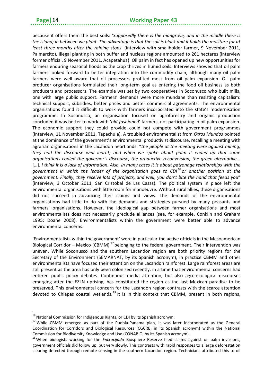because it offers them the best soils: '*Supposedly there is the mangrove, and in the middle there is the island; in between we plant. The advantage is that the soil is black and it holds the moisture for at least three months after the raining stops*' (interview with smallholder farmer, 9 November 2011, Palmarcito). Illegal planting in both buffer and nucleus regions amounted to 261 hectares (interview former official, 9 November 2011, Acapetahua). Oil palm in fact has opened up new opportunities for farmers enduring seasonal floods as the crop thrives in humid soils. Interviews showed that oil palm farmers looked forward to better integration into the commodity chain, although many oil palm farmers were well aware that oil processors profited most from oil palm expansion. Oil palm producer organisations formulated their long-term goal as entering the food oil business as both producers and processors. The example was set by two cooperatives in Soconusco who built mills, one with large public support. Farmers' demands were more mundane than resisting capitalism: technical support, subsidies, better prices and better commercial agreements. The environmental organisations found it difficult to work with farmers incorporated into the state's modernisation programme. In Soconusco, an organisation focused on agroforestry and organic production concluded it was better to work with '*old-fashioned*' farmers, not participating in oil palm expansion. The economic support they could provide could not compete with government programmes (interview, 11 November 2011, Tapachula). A troubled environmentalist from *Otros Mundos* pointed at the dominance of the government's environmental productivist discourse, recalling a meeting with agrarian organisations in the Lacandon heartlands: "*the people at the meeting were against mining, they had the discourse well learnt, and when we spoke about palm it ended up that some organisations copied the governor's discourse, the productive reconversion, the green alternative...* […]*. I think it is a lack of information. Also, in many cases it is about patronage relationships with the government in which the leader of the organisation goes to CDI[16](#page-17-0) or another position at the government. Finally, they receive lots of projects, and well, you don't bite the hand that feeds you*" (interview, 3 October 2011, San Cristóbal de Las Casas). The political system in place left the environmental organisations with little room for manoeuvre. Without rural allies, these organisations did not succeed in advancing their claims and views. The demands of the environmental organisations had little to do with the demands and strategies pursued by many peasants and farmers' organisations. However, the ideological gap between farmer organisations and most environmentalists does not necessarily preclude alliances (see, for example, Conklin and Graham 1995; Doane 2008). Environmentalists within the government were better able to advance environmental concerns.

'Environmentalists within the government' were in particular the active officials in the Mesoamerican Biological Corridor – Mexico (CBMM)<sup>[17](#page-17-1)</sup> belonging to the federal government. Their intervention was uneven. While Soconusco and the southern Lacandon region are both priority regions for the Secretary of the Environment (SEMARNAT, by its Spanish acronym), in practice CBMM and other environmentalists have focused their attention on the Lacandon rainforest. Large rainforest areas are still present as the area has only been colonised recently, in a time that environmental concerns had entered public policy debates. Continuous media attention, but also agro-ecological discourses emerging after the EZLN uprising, has constituted the region as the last Mexican paradise to be preserved. This environmental concern for the Lacandon region contrasts with the scarce attention devoted to Chiapas coastal wetlands.<sup>[18](#page-17-2)</sup> It is in this context that CBMM, present in both regions,

 $\overline{a}$ 

<span id="page-17-1"></span>

<span id="page-17-0"></span><sup>&</sup>lt;sup>16</sup> National Commission for Indigenous Rights, or CDI by its Spanish acronym.<br><sup>17</sup> While CBMM emerged as part of the Puebla-Panama plan, it was later incorporated as the General Coordination for Corridors and Biological Resources (CGCRB, in its Spanish acronym) within the National Commission for Biodiversity Knowledge and Use (CONABIO, by its Spanish acronym).

<span id="page-17-2"></span><sup>18</sup>When biologists working for the *Encrucijada* Biosphere Reserve filed claims against oil palm invasions, government officials did follow up, but very slowly. This contrasts with rapid responses to a large deforestation clearing detected through remote sensing in the southern Lacandon region. Technicians attributed this to oil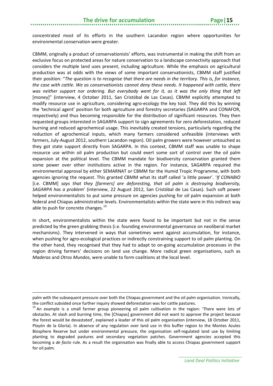concentrated most of its efforts in the southern Lacandon region where opportunities for environmental conservation were greater.

CBMM, originally a product of conservationists' efforts, was instrumental in making the shift from an exclusive focus on protected areas for nature conservation to a landscape connectivity approach that considers the multiple land uses present, including agriculture. While the emphasis on agricultural production was at odds with the views of some important conservationists, CBMM staff justified their position: "*The question is to recognise that there are needs in the territory. This is, for instance, the case with cattle. We as conservationists cannot deny these needs. It happened with cattle, there was neither support nor ordering. But everybody went for it, as it was the only thing that left* [money]" (interview, 4 October 2011, San Cristóbal de Las Casas). CBMM explicitly attempted to modify resource use in agriculture, considering agro-ecology the key tool. They did this by winning the 'technical agent' position for both agriculture and forestry secretaries (SAGARPA and CONAFOR, respectively) and thus becoming responsible for the distribution of significant resources. They then requested groups interested in SAGARPA support to sign agreements for zero deforestation, reduced burning and reduced agrochemical usage. This inevitably created tensions, particularly regarding the reduction of agrochemical inputs, which many farmers considered unfeasible (interviews with farmers, July-August 2012, southern Lacandon region). Oil palm growers were however untouched as they got state support directly from SAGARPA. In this context, CBMM staff was unable to shape resource use within oil palm production but could exert some sort of control over the oil palm expansion at the political level. The CBMM mandate for biodiversity conservation granted them some power over other institutions active in the region. For instance, SAGARPA required the environmental approval by either SEMARNAT or CBMM for the Humid Tropic Programme, with both agencies ignoring the request. This granted CBMM what its staff called 'a little power'. '*If CONABIO*  [i.e. CBMM] *says that they [farmers] are deforesting, that oil palm is destroying biodiversity, SAGARPA has a problem*' (interview, 22 August 2012, San Cristóbal de Las Casas). Such soft power helped environmentalists to put some pressure on agencies pushing for oil palm expansion at both federal and Chiapas administrative levels. Environmentalists within the state were in this indirect way able to push for concrete changes.<sup>[19](#page-18-0)</sup>

In short, environmentalists within the state were found to be important but not in the sense predicted by the green grabbing thesis (i.e. founding environmental governance on neoliberal market mechanisms). They intervened in ways that sometimes went against accumulation, for instance, when pushing for agro-ecological practices or indirectly constraining support to oil palm planting. On the other hand, they recognised that they had to adapt to on-going accumulation processes in the region driving farmers' decisions on land use change. More radical green organisations, such as *Maderas* and *Otros Mundos*, were unable to form coalitions at the local level.

palm with the subsequent pressure over both the Chiapas government and the oil palm organisation. Ironically,

<span id="page-18-0"></span>the conflict subsided once further inquiry showed deforestation was for cattle pastures.<br><sup>19</sup> An example is a small farmer group pioneering oil palm cultivation in the region: 'There were lots of obstacles. At slash and burning time, the [Chiapas] government did not want to approve the project because the forest would be devastated', explained a leader of this oil palm organisation (interview, 18 October 2011, Playón de la Gloria). In absence of any regulation over land use in this buffer region to the Montes Azules Biosphere Reserve but under environmental pressure, the organisation self-regulated land use by limiting planting to degraded pastures and secondary vegetation patches. Government agencies accepted this becoming a *de facto* rule. As a result the organisation was finally able to access Chiapas government support for oil palm.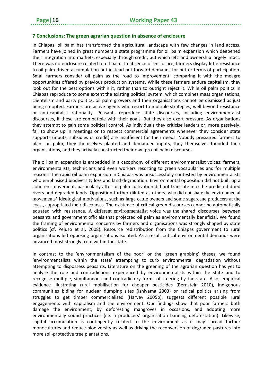#### <span id="page-19-0"></span>**7 Conclusions: The green agrarian question in absence of enclosure**

In Chiapas, oil palm has transformed the agricultural landscape with few changes in land access. Farmers have joined in great numbers a state programme for oil palm expansion which deepened their integration into markets, especially through credit, but which left land ownership largely intact. There was no enclosure related to oil palm. In absence of enclosure, farmers display little resistance to oil palm-driven accumulation but instead put forward demands for better terms of participation. Small farmers consider oil palm as the road to improvement, comparing it with the meagre opportunities offered by previous production systems. While these farmers endure capitalism, they look out for the best options within it, rather than to outright reject it. While oil palm politics in Chiapas reproduce to some extent the existing political system, which combines mass organisations, clientelism and party politics, oil palm growers and their organisations cannot be dismissed as just being co-opted. Farmers are active agents who resort to multiple strategies, well beyond resistance or anti-capitalist rationality. Peasants reproduce state discourses, including environmentalist discourses, if these are compatible with their goals. But they also exert pressure. As organisations they attempt to gain some political control. As individuals they criticise leaders or, more passively, fail to show up in meetings or to respect commercial agreements whenever they consider state supports (inputs, subsidies or credit) are insufficient for their needs. Nobody pressured farmers to plant oil palm; they themselves planted and demanded inputs, they themselves founded their organisations, and they actively constructed their own pro-oil palm discourses.

The oil palm expansion is embedded in a cacophony of different environmentalist voices: farmers, environmentalists, technicians and even workers resorting to green vocabularies and for multiple reasons. The rapid oil palm expansion in Chiapas was unsuccessfully contested by environmentalists who emphasised biodiversity loss and land degradation. Environmental opposition did not built up a coherent movement, particularly after oil palm cultivation did not translate into the predicted dried rivers and degraded lands. Opposition further diluted as others, who did not share the environmental movements' ideological motivations, such as large cattle owners and some sugarcane producers at the coast, appropriated their discourses. The existence of critical green discourses cannot be automatically equated with resistance. A different environmentalist voice was the shared discourses between peasants and government officials that projected oil palm as environmentally beneficial. We found the framing of environmental concerns by farmers and organisations was strongly shaped by state politics (cf. Peluso et al. 2008). Resource redistribution from the Chiapas government to rural organisations left opposing organisations isolated. As a result critical environmental demands were advanced most strongly from within the state.

In contrast to the 'environmentalism of the poor' or the 'green grabbing' theses, we found 'environmentalists within the state' attempting to curb environmental degradation without attempting to dispossess peasants. Literature on the greening of the agrarian question has yet to analyse the role and contradictions experienced by environmentalists within the state and to recognise multiple, simultaneous and contradictory forms of steering by the state. Also, empirical evidence illustrating rural mobilisation for cheaper pesticides (Bernstein 2010), indigenous communities biding for nuclear dumping sites (Ishiyama 2003) or radical politics arising from struggles to get timber commercialised (Harvey 2005b), suggests different possible rural engagements with capitalism and the environment. Our findings show that poor farmers both damage the environment, by deforesting mangroves in occasions, and adopting more environmentally sound practices (i.e. a producers' organisation banning deforestation). Likewise, capital accumulation is contingently related to the environment as it may spread further monocultures and reduce biodiversity as well as driving the reconversion of degraded pastures into more soil-protective tree plantations.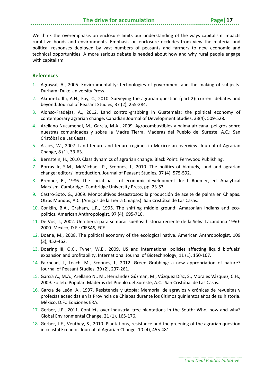We think the overemphasis on enclosure limits our understanding of the ways capitalism impacts rural livelihoods and environments. Emphasis on enclosure occludes from view the material and political responses deployed by vast numbers of peasants and farmers to new economic and technical opportunities. A more serious debate is needed about how and why rural people engage with capitalism.

#### <span id="page-20-0"></span>**References**

- 1. Agrawal, A., 2005. Environmentality: technologies of government and the making of subjects. Durham: Duke University Press.
- 2. Akram-Lodhi, A.H., Kay, C., 2010. Surveying the agrarian question (part 2): current debates and beyond. Journal of Peasant Studies, 37 (2), 255-284.
- 3. Alonso-Fradejas, A., 2012. Land control-grabbing in Guatemala: the political economy of contemporary agrarian change. Canadian Journal of Development Studies, 33(4), 509-528.
- 4. Arellano Nucamendi, M., García, M.A., 2009. Agrocombustibles y palma africana: peligros sobre nuestras comunidades y sobre la Madre Tierra. Maderas del Pueblo del Sureste, A.C.: San Cristóbal de Las Casas.
- 5. Assies, W., 2007. Land tenure and tenure regimes in Mexico: an overview. Journal of Agrarian Change, 8 (1), 33-63.
- 6. Bernstein, H., 2010. Class dynamics of agrarian change. Black Point: Fernwood Publishing.
- 7. Borras Jr, S.M., McMichael, P., Scoones, I., 2010. The politics of biofuels, land and agrarian change: editors' introduction. Journal of Peasant Studies, 37 (4), 575-592.
- 8. Brenner, R., 1986. The social basis of economic development. In: J. Roemer, ed. Analytical Marxism. Cambridge: Cambridge University Press, pp. 23-53.
- 9. Castro-Soto, G., 2009. Monocultivos desastrosos: la producción de aceite de palma en Chiapas. Otros Mundos, A.C. (Amigos de la Tierra Chiapas): San Cristóbal de Las Casas.
- 10. Conklin, B.A., Graham, L.R., 1995. The shifting middle ground: Amazonian Indians and ecopolitics. American Anthropologist, 97 (4), 695-710.
- 11. De Vos, J., 2002. Una tierra para sembrar sueños: historia reciente de la Selva Lacandona 1950- 2000. México, D.F.: CIESAS, FCE.
- 12. Doane, M., 2008. The political economy of the ecological native. American Anthropologist, 109 (3), 452-462.
- 13. Doering III, O.C., Tyner, W.E., 2009. US and international policies affecting liquid biofuels' expansion and profitability. International Journal of Biotechnology, 11 (1), 150-167.
- 14. Fairhead, J., Leach, M., Scoones, I., 2012. Green Grabbing: a new appropriation of nature? Journal of Peasant Studies, 39 (2), 237-261.
- 15. García A., M.A., Arellano N., M., Hernández Gúzman, M., Vázquez Díaz, S., Morales Vázquez, C.H., 2009. Folleto Popular. Maderas del Pueblo del Sureste, A.C.: San Cristóbal de Las Casas.
- 16. García de León, A., 1997. Resistencia y utopía: Memorial de agravios y crónicas de revueltas y profecías acaecidas en la Provincia de Chiapas durante los últimos quinientos años de su historia. México, D.F.: Ediciones ERA.
- 17. Gerber, J.F., 2011. Conflicts over industrial tree plantations in the South: Who, how and why? Global Environmental Change, 21 (1), 165-176.
- 18. Gerber, J.F., Veuthey, S., 2010. Plantations, resistance and the greening of the agrarian question in coastal Ecuador. Journal of Agrarian Change, 10 (4), 455-481.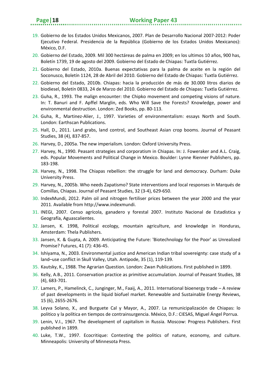- 19. Gobierno de los Estados Unidos Mexicanos, 2007. Plan de Desarrollo Nacional 2007-2012: Poder Ejecutivo Federal. Presidencia de la República (Gobierno de los Estados Unidos Mexicanos): México, D.F.
- 20. Gobierno del Estado, 2009. Mil 300 hectáreas de palma en 2009; en los ultimos 10 años, 900 has, Boletín 1739, 19 de agosto del 2009. Gobierno del Estado de Chiapas: Tuxtla Gutiérrez.
- 21. Gobierno del Estado, 2010a. Buenas expectativas para la palma de aceite en la región del Soconusco, Boletín 1124, 28 de Abril del 2010. Gobierno del Estado de Chiapas: Tuxtla Gutiérrez.
- 22. Gobierno del Estado, 2010b. Chiapas: hacia la producción de más de 30.000 litros diarios de biodiesel, Boletín 0833, 24 de Marzo del 2010. Gobierno del Estado de Chiapas: Tuxtla Gutiérrez.
- 23. Guha, R., 1993. The malign encounter: the Chipko movement and competing visions of nature. In: T. Banuri and F. Apffel Marglin, eds. Who Will Save the Forests? Knowledge, power and environmental destruction. London: Zed Books, pp. 80-113.
- 24. Guha, R., Martinez-Alier, J., 1997. Varieties of environmentalism: essays North and South. London: Earthscan Publications.
- 25. Hall, D., 2011. Land grabs, land control, and Southeast Asian crop booms. Journal of Peasant Studies, 38 (4), 837-857.
- 26. Harvey, D., 2005a. The new imperialism. London: Oxford University Press.
- 27. Harvey, N., 1990. Peasant strategies and corporatism in Chiapas. In: J. Foweraker and A.L. Craig, eds. Popular Movements and Political Change in Mexico. Boulder: Lynne Rienner Publishers, pp. 183-198.
- 28. Harvey, N., 1998. The Chiapas rebellion: the struggle for land and democracy. Durham: Duke University Press.
- 29. Harvey, N., 2005b. Who needs Zapatismo? State interventions and local responses in Marqués de Comillas, Chiapas. Journal of Peasant Studies, 32 (3-4), 629-650.
- 30. IndexMundi, 2012. Palm oil and nitrogen fertiliser prices between the year 2000 and the year 2011. Available from http://www.indexmundi.
- 31. INEGI, 2007. Censo agrícola, ganadero y forestal 2007. Instituto Nacional de Estadística y Geografía, Aguascalientes.
- 32. Jansen, K. 1998, Political ecology, mountain agriculture, and knowledge in Honduras, Amsterdam: Thela Publishers.
- 33. Jansen, K. & Gupta, A. 2009. Anticipating the Future: 'Biotechnology for the Poor' as Unrealized Promise? Futures, 41 (7): 436-45.
- 34. Ishiyama, N., 2003. Environmental justice and American Indian tribal sovereignty: case study of a land–use conflict in Skull Valley, Utah. Antipode, 35 (1), 119-139.
- 35. Kautsky, K., 1988. The Agrarian Question. London: Zwan Publications. First published in 1899.
- 36. Kelly, A.B., 2011. Conservation practice as primitive accumulation. Journal of Peasant Studies, 38 (4), 683-701.
- 37. Lamers, P., Hamelinck, C., Junginger, M., Faaij, A., 2011. International bioenergy trade A review of past developments in the liquid biofuel market. Renewable and Sustainable Energy Reviews, 15 (6), 2655-2676.
- 38. Leyva Solano, X., and Burguete Cal y Mayor, A., 2007. La remunicipalización de Chiapas: lo politico y la política en tiempos de contrainsurgencia. México, D.F.: CIESAS, Miguel Ángel Porrua.
- 39. Lenin, V.I., 1967. The development of capitalism in Russia. Moscow: Progress Publishers. First published in 1899.
- 40. Luke, T.W., 1997. Ecocritique: Contesting the politics of nature, economy, and culture. Minneapolis: University of Minnesota Press.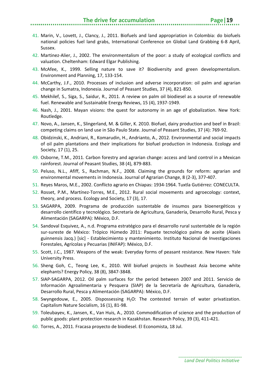- 41. Marin, V., Lovett, J., Clancy, J., 2011. Biofuels and land appropriation in Colombia: do biofuels national policies fuel land grabs, International Conference on Global Land Grabbing 6-8 April, Sussex.
- 42. Martinez-Alier, J., 2002. The environmentalism of the poor: a study of ecological conflicts and valuation. Cheltenham: Edward Elgar Publishing.
- 43. McAfee, K., 1999. Selling nature to save it? Biodiversity and green developmentalism. Environment and Planning, 17, 133-154.
- 44. McCarthy, J.F., 2010. Processes of inclusion and adverse incorporation: oil palm and agrarian change in Sumatra, Indonesia. Journal of Peasant Studies, 37 (4), 821-850.
- 45. Mekhilef, S., Siga, S., Saidur, R., 2011. A review on palm oil biodiesel as a source of renewable fuel. Renewable and Sustainable Energy Reviews, 15 (4), 1937-1949.
- 46. Nash, J., 2001. Mayan visions: the quest for autonomy in an age of globalization. New York: Routledge.
- 47. Novo, A., Jansen, K., Slingerland, M. & Giller, K. 2010. Biofuel, dairy production and beef in Brazil: competing claims on land use in São Paulo State. Journal of Peasant Studies, 37 (4): 769-92.
- 48. Obidzinski, K., Andriani, R., Komarudin, H., Andrianto, A., 2012. Environmental and social impacts of oil palm plantations and their implications for biofuel production in Indonesia. Ecology and Society, 17 (1), 25.
- 49. Osborne, T.M., 2011. Carbon forestry and agrarian change: access and land control in a Mexican rainforest. Journal of Peasant Studies, 38 (4), 879-883.
- 50. Peluso, N.L., Afiff, S., Rachman, N.F., 2008. Claiming the grounds for reform: agrarian and environmental movements in Indonesia. Journal of Agrarian Change, 8 (2-3), 377-407.
- 51. Reyes Maros, M.E., 2002. Conflicto agrario en Chiapas: 1934-1964. Tuxtla Gutiérrez: CONECULTA.
- 52. Rosset, P.M., Martínez-Torres, M.E., 2012. Rural social movements and agroecology: context, theory, and process. Ecology and Society, 17 (3), 17.
- 53. SAGARPA, 2009. Programa de producción sustentable de insumos para bioenergéticos y desarrollo científico y tecnológico. Secretaría de Agricultura, Ganadería, Desarrollo Rural, Pesca y Alimentación (SAGARPA): México, D.F.
- 54. Sandoval Esquivez, A., n.d. Programa estratégico para el desarrollo rural sustentable de la región sur-sureste de México: Trópico Húmedo 2011: Paquete tecnológico palma de aceite (Alaeis guinnensis Jacq.) [sic] - Establecimiento y mantenimiento. Instituto Nacional de Investigaciones Forestales, Agrícolas y Pecuarias (INIFAP): México, D.F.
- 55. Scott, J.C., 1987. Weapons of the weak: Everyday forms of peasant resistance. New Haven: Yale University Press.
- 56. Sheng Goh, C., Teong Lee, K., 2010. Will biofuel projects in Southeast Asia become white elephants? Energy Policy, 38 (8), 3847-3848.
- 57. SIAP-SAGARPA, 2012. Oil palm surfaces for the period between 2007 and 2011. Servicio de Información Agroalimentaria y Pesquera (SIAP) de la Secretaría de Agricultura, Ganadería, Desarrollo Rural, Pesca y Alimentación (SAGARPA): México, D.F.
- 58. Swyngedouw, E., 2005. Dispossessing H2O: The contested terrain of water privatization. Capitalism Nature Socialism, 16 (1), 81-98.
- 59. Toleubayev, K., Jansen, K., Van Huis, A., 2010. Commodification of science and the production of public goods: plant protection research in Kazakhstan. Research Policy, 39 (3), 411-421.
- 60. Torres, A., 2011. Fracasa proyecto de biodiesel. El Economista, 18 Jul.